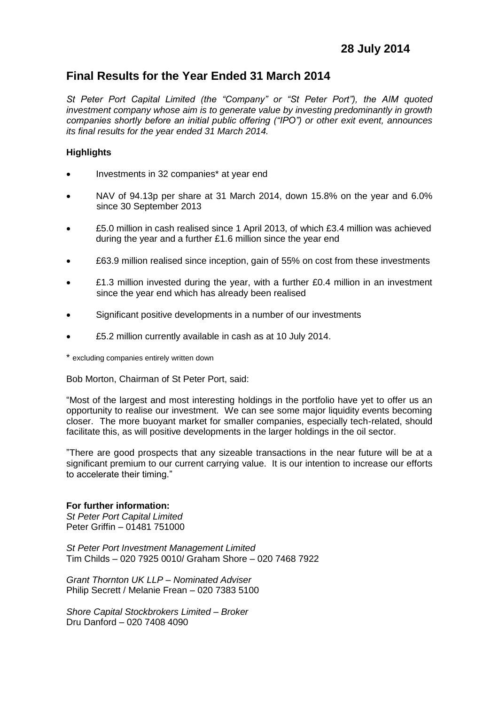# **Final Results for the Year Ended 31 March 2014**

*St Peter Port Capital Limited (the "Company" or "St Peter Port"), the AIM quoted investment company whose aim is to generate value by investing predominantly in growth companies shortly before an initial public offering ("IPO") or other exit event, announces its final results for the year ended 31 March 2014.*

# **Highlights**

- Investments in 32 companies\* at year end
- NAV of 94.13p per share at 31 March 2014, down 15.8% on the year and 6.0% since 30 September 2013
- £5.0 million in cash realised since 1 April 2013, of which £3.4 million was achieved during the year and a further £1.6 million since the year end
- £63.9 million realised since inception, gain of 55% on cost from these investments
- £1.3 million invested during the year, with a further £0.4 million in an investment since the year end which has already been realised
- Significant positive developments in a number of our investments
- £5.2 million currently available in cash as at 10 July 2014.

\* excluding companies entirely written down

Bob Morton, Chairman of St Peter Port, said:

"Most of the largest and most interesting holdings in the portfolio have yet to offer us an opportunity to realise our investment. We can see some major liquidity events becoming closer. The more buoyant market for smaller companies, especially tech-related, should facilitate this, as will positive developments in the larger holdings in the oil sector.

"There are good prospects that any sizeable transactions in the near future will be at a significant premium to our current carrying value. It is our intention to increase our efforts to accelerate their timing."

# **For further information:**

*St Peter Port Capital Limited* Peter Griffin – 01481 751000

*St Peter Port Investment Management Limited* Tim Childs – 020 7925 0010/ Graham Shore – 020 7468 7922

*Grant Thornton UK LLP – Nominated Adviser*  Philip Secrett / Melanie Frean – 020 7383 5100

*Shore Capital Stockbrokers Limited – Broker* Dru Danford *–* 020 7408 4090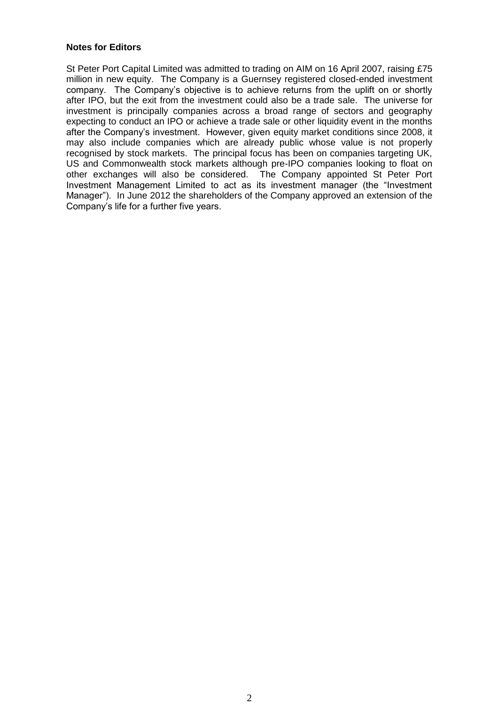#### **Notes for Editors**

St Peter Port Capital Limited was admitted to trading on AIM on 16 April 2007, raising £75 million in new equity. The Company is a Guernsey registered closed-ended investment company. The Company's objective is to achieve returns from the uplift on or shortly after IPO, but the exit from the investment could also be a trade sale. The universe for investment is principally companies across a broad range of sectors and geography expecting to conduct an IPO or achieve a trade sale or other liquidity event in the months after the Company's investment. However, given equity market conditions since 2008, it may also include companies which are already public whose value is not properly recognised by stock markets. The principal focus has been on companies targeting UK, US and Commonwealth stock markets although pre-IPO companies looking to float on other exchanges will also be considered. The Company appointed St Peter Port Investment Management Limited to act as its investment manager (the "Investment Manager"). In June 2012 the shareholders of the Company approved an extension of the Company's life for a further five years.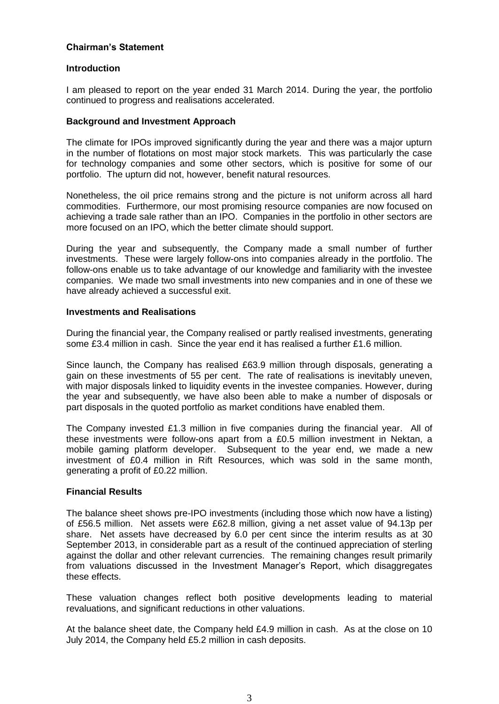## **Chairman's Statement**

# **Introduction**

I am pleased to report on the year ended 31 March 2014. During the year, the portfolio continued to progress and realisations accelerated.

### **Background and Investment Approach**

The climate for IPOs improved significantly during the year and there was a major upturn in the number of flotations on most major stock markets. This was particularly the case for technology companies and some other sectors, which is positive for some of our portfolio. The upturn did not, however, benefit natural resources.

Nonetheless, the oil price remains strong and the picture is not uniform across all hard commodities. Furthermore, our most promising resource companies are now focused on achieving a trade sale rather than an IPO. Companies in the portfolio in other sectors are more focused on an IPO, which the better climate should support.

During the year and subsequently, the Company made a small number of further investments. These were largely follow-ons into companies already in the portfolio. The follow-ons enable us to take advantage of our knowledge and familiarity with the investee companies. We made two small investments into new companies and in one of these we have already achieved a successful exit.

#### **Investments and Realisations**

During the financial year, the Company realised or partly realised investments, generating some £3.4 million in cash. Since the year end it has realised a further £1.6 million.

Since launch, the Company has realised £63.9 million through disposals, generating a gain on these investments of 55 per cent. The rate of realisations is inevitably uneven, with major disposals linked to liquidity events in the investee companies. However, during the year and subsequently, we have also been able to make a number of disposals or part disposals in the quoted portfolio as market conditions have enabled them.

The Company invested £1.3 million in five companies during the financial year. All of these investments were follow-ons apart from a £0.5 million investment in Nektan, a mobile gaming platform developer. Subsequent to the year end, we made a new investment of £0.4 million in Rift Resources, which was sold in the same month, generating a profit of £0.22 million.

### **Financial Results**

The balance sheet shows pre-IPO investments (including those which now have a listing) of £56.5 million. Net assets were £62.8 million, giving a net asset value of 94.13p per share. Net assets have decreased by 6.0 per cent since the interim results as at 30 September 2013, in considerable part as a result of the continued appreciation of sterling against the dollar and other relevant currencies. The remaining changes result primarily from valuations discussed in the Investment Manager's Report, which disaggregates these effects.

These valuation changes reflect both positive developments leading to material revaluations, and significant reductions in other valuations.

At the balance sheet date, the Company held £4.9 million in cash. As at the close on 10 July 2014, the Company held £5.2 million in cash deposits.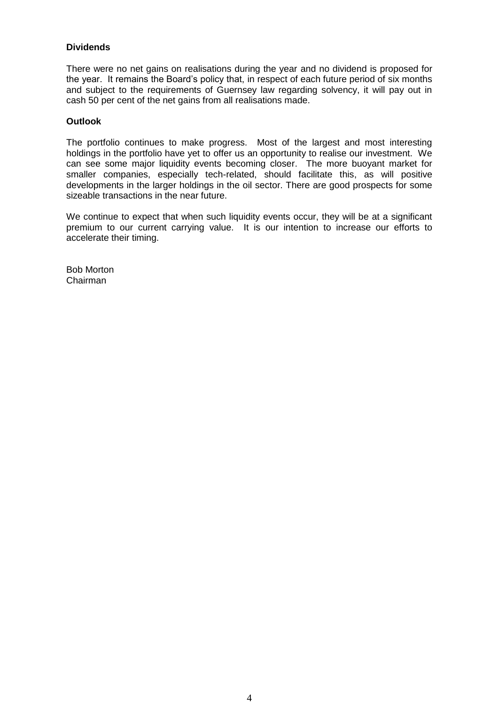### **Dividends**

There were no net gains on realisations during the year and no dividend is proposed for the year. It remains the Board's policy that, in respect of each future period of six months and subject to the requirements of Guernsey law regarding solvency, it will pay out in cash 50 per cent of the net gains from all realisations made.

#### **Outlook**

The portfolio continues to make progress. Most of the largest and most interesting holdings in the portfolio have yet to offer us an opportunity to realise our investment. We can see some major liquidity events becoming closer. The more buoyant market for smaller companies, especially tech-related, should facilitate this, as will positive developments in the larger holdings in the oil sector. There are good prospects for some sizeable transactions in the near future.

We continue to expect that when such liquidity events occur, they will be at a significant premium to our current carrying value. It is our intention to increase our efforts to accelerate their timing.

Bob Morton Chairman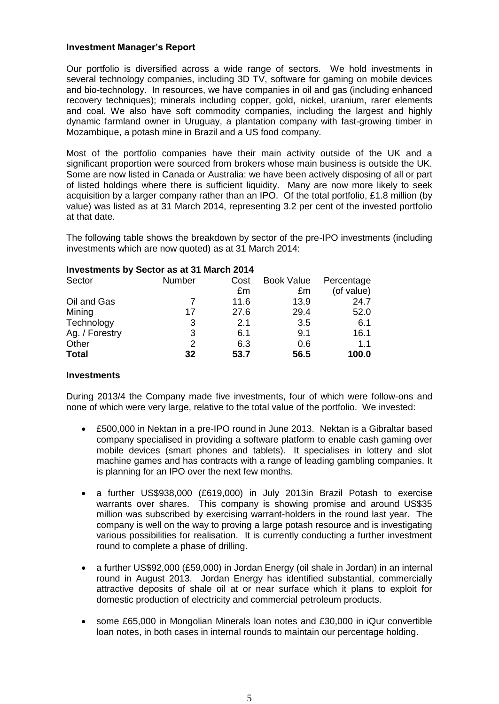#### **Investment Manager's Report**

Our portfolio is diversified across a wide range of sectors. We hold investments in several technology companies, including 3D TV, software for gaming on mobile devices and bio-technology. In resources, we have companies in oil and gas (including enhanced recovery techniques); minerals including copper, gold, nickel, uranium, rarer elements and coal. We also have soft commodity companies, including the largest and highly dynamic farmland owner in Uruguay, a plantation company with fast-growing timber in Mozambique, a potash mine in Brazil and a US food company.

Most of the portfolio companies have their main activity outside of the UK and a significant proportion were sourced from brokers whose main business is outside the UK. Some are now listed in Canada or Australia: we have been actively disposing of all or part of listed holdings where there is sufficient liquidity. Many are now more likely to seek acquisition by a larger company rather than an IPO. Of the total portfolio, £1.8 million (by value) was listed as at 31 March 2014, representing 3.2 per cent of the invested portfolio at that date.

The following table shows the breakdown by sector of the pre-IPO investments (including investments which are now quoted) as at 31 March 2014:

| <b>ILIVESURGIRS BY OCCION AS ALS I MAIGH ZUIT</b> |        |      |                   |            |
|---------------------------------------------------|--------|------|-------------------|------------|
| Sector                                            | Number | Cost | <b>Book Value</b> | Percentage |
|                                                   |        | £m   | £m                | (of value) |
| Oil and Gas                                       |        | 11.6 | 13.9              | 24.7       |
| Mining                                            | 17     | 27.6 | 29.4              | 52.0       |
| Technology                                        | 3      | 2.1  | 3.5               | 6.1        |
| Ag. / Forestry                                    | 3      | 6.1  | 9.1               | 16.1       |
| Other                                             | 2      | 6.3  | 0.6               | 1.1        |
| <b>Total</b>                                      | 32     | 53.7 | 56.5              | 100.0      |
|                                                   |        |      |                   |            |

# **Investments by Sector as at 31 March 2014**

#### **Investments**

During 2013/4 the Company made five investments, four of which were follow-ons and none of which were very large, relative to the total value of the portfolio. We invested:

- £500,000 in Nektan in a pre-IPO round in June 2013. Nektan is a Gibraltar based company specialised in providing a software platform to enable cash gaming over mobile devices (smart phones and tablets). It specialises in lottery and slot machine games and has contracts with a range of leading gambling companies. It is planning for an IPO over the next few months.
- a further US\$938,000 (£619,000) in July 2013in Brazil Potash to exercise warrants over shares. This company is showing promise and around US\$35 million was subscribed by exercising warrant-holders in the round last year. The company is well on the way to proving a large potash resource and is investigating various possibilities for realisation. It is currently conducting a further investment round to complete a phase of drilling.
- a further US\$92,000 (£59,000) in Jordan Energy (oil shale in Jordan) in an internal round in August 2013. Jordan Energy has identified substantial, commercially attractive deposits of shale oil at or near surface which it plans to exploit for domestic production of electricity and commercial petroleum products.
- some £65,000 in Mongolian Minerals loan notes and £30,000 in iQur convertible loan notes, in both cases in internal rounds to maintain our percentage holding.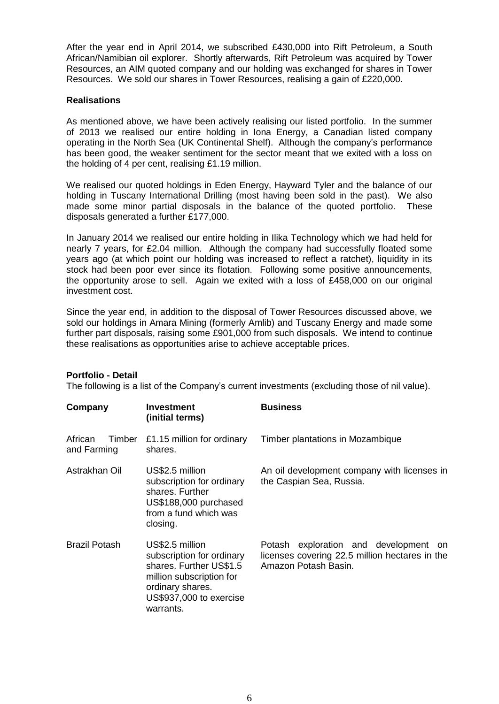After the year end in April 2014, we subscribed £430,000 into Rift Petroleum, a South African/Namibian oil explorer. Shortly afterwards, Rift Petroleum was acquired by Tower Resources, an AIM quoted company and our holding was exchanged for shares in Tower Resources. We sold our shares in Tower Resources, realising a gain of £220,000.

#### **Realisations**

As mentioned above, we have been actively realising our listed portfolio. In the summer of 2013 we realised our entire holding in Iona Energy, a Canadian listed company operating in the North Sea (UK Continental Shelf). Although the company's performance has been good, the weaker sentiment for the sector meant that we exited with a loss on the holding of 4 per cent, realising £1.19 million.

We realised our quoted holdings in Eden Energy, Hayward Tyler and the balance of our holding in Tuscany International Drilling (most having been sold in the past). We also made some minor partial disposals in the balance of the quoted portfolio. These disposals generated a further £177,000.

In January 2014 we realised our entire holding in Ilika Technology which we had held for nearly 7 years, for £2.04 million. Although the company had successfully floated some years ago (at which point our holding was increased to reflect a ratchet), liquidity in its stock had been poor ever since its flotation. Following some positive announcements, the opportunity arose to sell. Again we exited with a loss of £458,000 on our original investment cost.

Since the year end, in addition to the disposal of Tower Resources discussed above, we sold our holdings in Amara Mining (formerly Amlib) and Tuscany Energy and made some further part disposals, raising some £901,000 from such disposals. We intend to continue these realisations as opportunities arise to achieve acceptable prices.

### **Portfolio - Detail**

The following is a list of the Company's current investments (excluding those of nil value).

| Company                          | <b>Investment</b><br>(initial terms)                                                                                                                            | <b>Business</b>                                                                                                 |
|----------------------------------|-----------------------------------------------------------------------------------------------------------------------------------------------------------------|-----------------------------------------------------------------------------------------------------------------|
| African<br>Timber<br>and Farming | £1.15 million for ordinary<br>shares.                                                                                                                           | Timber plantations in Mozambique                                                                                |
| Astrakhan Oil                    | US\$2.5 million<br>subscription for ordinary<br>shares. Further<br>US\$188,000 purchased<br>from a fund which was<br>closing.                                   | An oil development company with licenses in<br>the Caspian Sea, Russia.                                         |
| <b>Brazil Potash</b>             | US\$2.5 million<br>subscription for ordinary<br>shares. Further US\$1.5<br>million subscription for<br>ordinary shares.<br>US\$937,000 to exercise<br>warrants. | Potash exploration and development on<br>licenses covering 22.5 million hectares in the<br>Amazon Potash Basin. |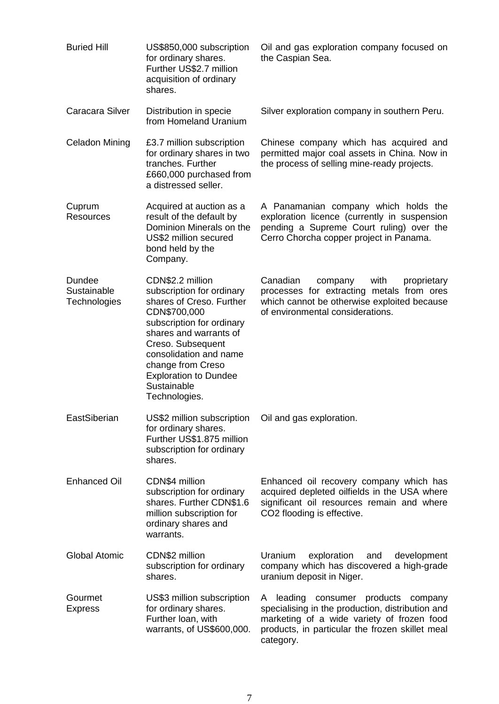| <b>Buried Hill</b>                    | US\$850,000 subscription<br>for ordinary shares.<br>Further US\$2.7 million<br>acquisition of ordinary<br>shares.                                                                                                                                                                    | Oil and gas exploration company focused on<br>the Caspian Sea.                                                                                                                                                 |
|---------------------------------------|--------------------------------------------------------------------------------------------------------------------------------------------------------------------------------------------------------------------------------------------------------------------------------------|----------------------------------------------------------------------------------------------------------------------------------------------------------------------------------------------------------------|
| Caracara Silver                       | Distribution in specie<br>from Homeland Uranium                                                                                                                                                                                                                                      | Silver exploration company in southern Peru.                                                                                                                                                                   |
| <b>Celadon Mining</b>                 | £3.7 million subscription<br>for ordinary shares in two<br>tranches. Further<br>£660,000 purchased from<br>a distressed seller.                                                                                                                                                      | Chinese company which has acquired and<br>permitted major coal assets in China. Now in<br>the process of selling mine-ready projects.                                                                          |
| Cuprum<br><b>Resources</b>            | Acquired at auction as a<br>result of the default by<br>Dominion Minerals on the<br>US\$2 million secured<br>bond held by the<br>Company.                                                                                                                                            | A Panamanian company which holds the<br>exploration licence (currently in suspension<br>pending a Supreme Court ruling) over the<br>Cerro Chorcha copper project in Panama.                                    |
| Dundee<br>Sustainable<br>Technologies | CDN\$2.2 million<br>subscription for ordinary<br>shares of Creso. Further<br>CDN\$700,000<br>subscription for ordinary<br>shares and warrants of<br>Creso. Subsequent<br>consolidation and name<br>change from Creso<br><b>Exploration to Dundee</b><br>Sustainable<br>Technologies. | Canadian<br>company<br>with<br>proprietary<br>processes for extracting metals from ores<br>which cannot be otherwise exploited because<br>of environmental considerations.                                     |
| EastSiberian                          | US\$2 million subscription<br>for ordinary shares.<br>Further US\$1.875 million<br>subscription for ordinary<br>shares.                                                                                                                                                              | Oil and gas exploration.                                                                                                                                                                                       |
| <b>Enhanced Oil</b>                   | CDN\$4 million<br>subscription for ordinary<br>shares. Further CDN\$1.6<br>million subscription for<br>ordinary shares and<br>warrants.                                                                                                                                              | Enhanced oil recovery company which has<br>acquired depleted oilfields in the USA where<br>significant oil resources remain and where<br>CO2 flooding is effective.                                            |
| <b>Global Atomic</b>                  | CDN\$2 million<br>subscription for ordinary<br>shares.                                                                                                                                                                                                                               | Uranium<br>exploration<br>development<br>and<br>company which has discovered a high-grade<br>uranium deposit in Niger.                                                                                         |
| Gourmet<br><b>Express</b>             | US\$3 million subscription<br>for ordinary shares.<br>Further Ioan, with<br>warrants, of US\$600,000.                                                                                                                                                                                | leading<br>consumer products<br>company<br>A<br>specialising in the production, distribution and<br>marketing of a wide variety of frozen food<br>products, in particular the frozen skillet meal<br>category. |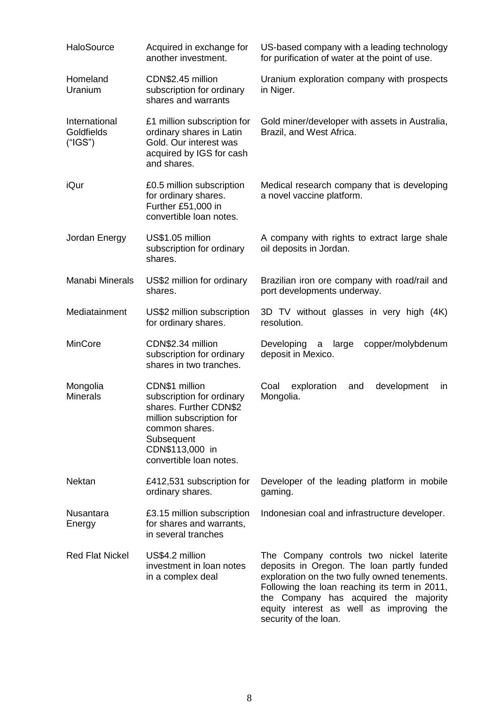| HaloSource                             | Acquired in exchange for<br>another investment.                                                                                                                                 | US-based company with a leading technology<br>for purification of water at the point of use.                                                                                                                                                                                                           |
|----------------------------------------|---------------------------------------------------------------------------------------------------------------------------------------------------------------------------------|--------------------------------------------------------------------------------------------------------------------------------------------------------------------------------------------------------------------------------------------------------------------------------------------------------|
| Homeland<br>Uranium                    | CDN\$2.45 million<br>subscription for ordinary<br>shares and warrants                                                                                                           | Uranium exploration company with prospects<br>in Niger.                                                                                                                                                                                                                                                |
| International<br>Goldfields<br>("IGS") | £1 million subscription for<br>ordinary shares in Latin<br>Gold. Our interest was<br>acquired by IGS for cash<br>and shares.                                                    | Gold miner/developer with assets in Australia,<br>Brazil, and West Africa.                                                                                                                                                                                                                             |
| iQur                                   | £0.5 million subscription<br>for ordinary shares.<br>Further £51,000 in<br>convertible loan notes.                                                                              | Medical research company that is developing<br>a novel vaccine platform.                                                                                                                                                                                                                               |
| Jordan Energy                          | US\$1.05 million<br>subscription for ordinary<br>shares.                                                                                                                        | A company with rights to extract large shale<br>oil deposits in Jordan.                                                                                                                                                                                                                                |
| Manabi Minerals                        | US\$2 million for ordinary<br>shares.                                                                                                                                           | Brazilian iron ore company with road/rail and<br>port developments underway.                                                                                                                                                                                                                           |
| Mediatainment                          | US\$2 million subscription<br>for ordinary shares.                                                                                                                              | 3D TV without glasses in very high (4K)<br>resolution.                                                                                                                                                                                                                                                 |
| MinCore                                | CDN\$2.34 million<br>subscription for ordinary<br>shares in two tranches.                                                                                                       | copper/molybdenum<br>Developing<br>large<br>a<br>deposit in Mexico.                                                                                                                                                                                                                                    |
| Mongolia<br><b>Minerals</b>            | CDN\$1 million<br>subscription for ordinary<br>shares. Further CDN\$2<br>million subscription for<br>common shares.<br>Subsequent<br>CDN\$113,000 in<br>convertible loan notes. | Coal<br>exploration<br>development<br>and<br>in<br>Mongolia.                                                                                                                                                                                                                                           |
| <b>Nektan</b>                          | £412,531 subscription for<br>ordinary shares.                                                                                                                                   | Developer of the leading platform in mobile<br>gaming.                                                                                                                                                                                                                                                 |
| Nusantara<br>Energy                    | £3.15 million subscription<br>for shares and warrants,<br>in several tranches                                                                                                   | Indonesian coal and infrastructure developer.                                                                                                                                                                                                                                                          |
| <b>Red Flat Nickel</b>                 | US\$4.2 million<br>investment in loan notes<br>in a complex deal                                                                                                                | The Company controls two nickel laterite<br>deposits in Oregon. The loan partly funded<br>exploration on the two fully owned tenements.<br>Following the loan reaching its term in 2011,<br>the Company has acquired the majority<br>equity interest as well as improving the<br>security of the loan. |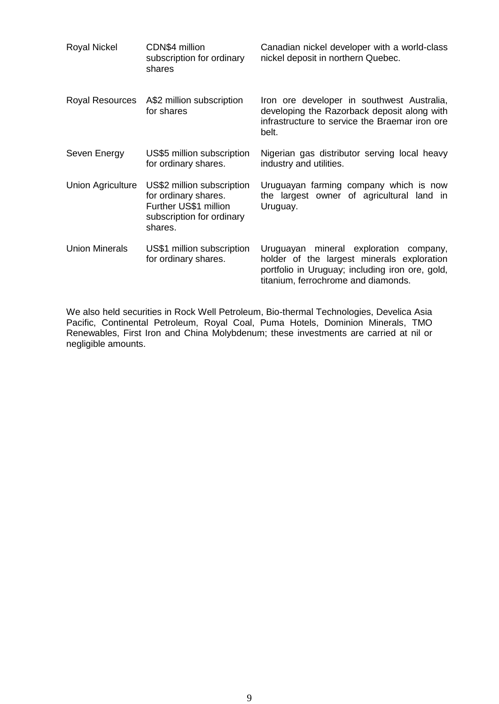| Royal Nickel             | CDN\$4 million<br>subscription for ordinary<br>shares                                                               | Canadian nickel developer with a world-class<br>nickel deposit in northern Quebec.                                                                                             |
|--------------------------|---------------------------------------------------------------------------------------------------------------------|--------------------------------------------------------------------------------------------------------------------------------------------------------------------------------|
| Royal Resources          | A\$2 million subscription<br>for shares                                                                             | Iron ore developer in southwest Australia,<br>developing the Razorback deposit along with<br>infrastructure to service the Braemar iron ore<br>belt.                           |
| Seven Energy             | US\$5 million subscription<br>for ordinary shares.                                                                  | Nigerian gas distributor serving local heavy<br>industry and utilities.                                                                                                        |
| <b>Union Agriculture</b> | US\$2 million subscription<br>for ordinary shares.<br>Further US\$1 million<br>subscription for ordinary<br>shares. | Uruguayan farming company which is now<br>the largest owner of agricultural land in<br>Uruguay.                                                                                |
| <b>Union Minerals</b>    | US\$1 million subscription<br>for ordinary shares.                                                                  | Uruguayan mineral exploration company,<br>holder of the largest minerals exploration<br>portfolio in Uruguay; including iron ore, gold,<br>titanium, ferrochrome and diamonds. |

We also held securities in Rock Well Petroleum, Bio-thermal Technologies, Develica Asia Pacific, Continental Petroleum, Royal Coal, Puma Hotels, Dominion Minerals, TMO Renewables, First Iron and China Molybdenum; these investments are carried at nil or negligible amounts.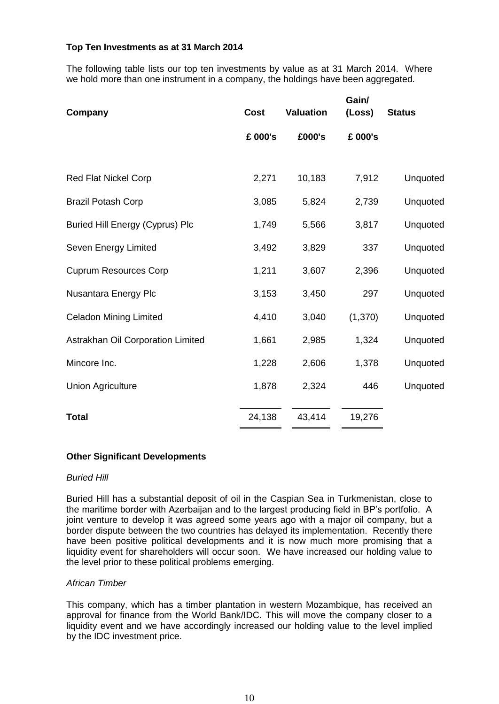### **Top Ten Investments as at 31 March 2014**

The following table lists our top ten investments by value as at 31 March 2014. Where we hold more than one instrument in a company, the holdings have been aggregated.

| <b>Cost</b> | <b>Valuation</b> | Gain/<br>(Loss) | <b>Status</b> |
|-------------|------------------|-----------------|---------------|
| £ 000's     | £000's           | £ 000's         |               |
|             |                  |                 |               |
| 2,271       | 10,183           | 7,912           | Unquoted      |
| 3,085       | 5,824            | 2,739           | Unquoted      |
| 1,749       | 5,566            | 3,817           | Unquoted      |
| 3,492       | 3,829            | 337             | Unquoted      |
| 1,211       | 3,607            | 2,396           | Unquoted      |
| 3,153       | 3,450            | 297             | Unquoted      |
| 4,410       | 3,040            | (1,370)         | Unquoted      |
| 1,661       | 2,985            | 1,324           | Unquoted      |
| 1,228       | 2,606            | 1,378           | Unquoted      |
| 1,878       | 2,324            | 446             | Unquoted      |
| 24,138      | 43,414           | 19,276          |               |
|             |                  |                 |               |

### **Other Significant Developments**

#### *Buried Hill*

Buried Hill has a substantial deposit of oil in the Caspian Sea in Turkmenistan, close to the maritime border with Azerbaijan and to the largest producing field in BP's portfolio. A joint venture to develop it was agreed some years ago with a major oil company, but a border dispute between the two countries has delayed its implementation. Recently there have been positive political developments and it is now much more promising that a liquidity event for shareholders will occur soon. We have increased our holding value to the level prior to these political problems emerging.

#### *African Timber*

This company, which has a timber plantation in western Mozambique, has received an approval for finance from the World Bank/IDC. This will move the company closer to a liquidity event and we have accordingly increased our holding value to the level implied by the IDC investment price.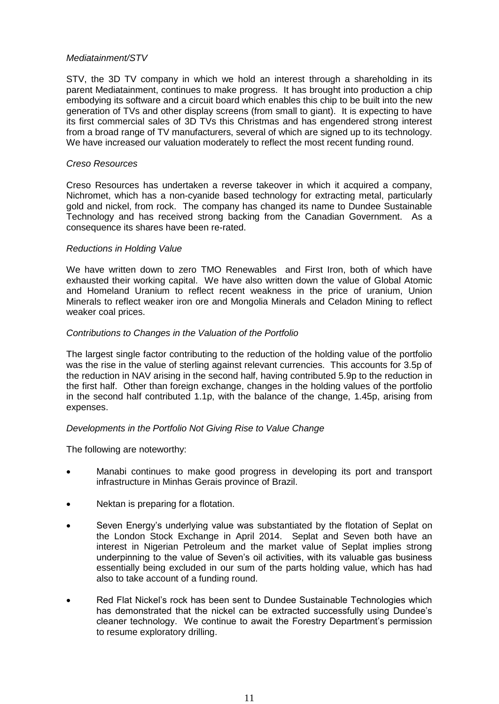#### *Mediatainment/STV*

STV, the 3D TV company in which we hold an interest through a shareholding in its parent Mediatainment, continues to make progress. It has brought into production a chip embodying its software and a circuit board which enables this chip to be built into the new generation of TVs and other display screens (from small to giant). It is expecting to have its first commercial sales of 3D TVs this Christmas and has engendered strong interest from a broad range of TV manufacturers, several of which are signed up to its technology. We have increased our valuation moderately to reflect the most recent funding round.

#### *Creso Resources*

Creso Resources has undertaken a reverse takeover in which it acquired a company, Nichromet, which has a non-cyanide based technology for extracting metal, particularly gold and nickel, from rock. The company has changed its name to Dundee Sustainable Technology and has received strong backing from the Canadian Government. As a consequence its shares have been re-rated.

#### *Reductions in Holding Value*

We have written down to zero TMO Renewables and First Iron, both of which have exhausted their working capital. We have also written down the value of Global Atomic and Homeland Uranium to reflect recent weakness in the price of uranium, Union Minerals to reflect weaker iron ore and Mongolia Minerals and Celadon Mining to reflect weaker coal prices.

#### *Contributions to Changes in the Valuation of the Portfolio*

The largest single factor contributing to the reduction of the holding value of the portfolio was the rise in the value of sterling against relevant currencies. This accounts for 3.5p of the reduction in NAV arising in the second half, having contributed 5.9p to the reduction in the first half. Other than foreign exchange, changes in the holding values of the portfolio in the second half contributed 1.1p, with the balance of the change, 1.45p, arising from expenses.

### *Developments in the Portfolio Not Giving Rise to Value Change*

The following are noteworthy:

- Manabi continues to make good progress in developing its port and transport infrastructure in Minhas Gerais province of Brazil.
- Nektan is preparing for a flotation.
- Seven Energy's underlying value was substantiated by the flotation of Seplat on the London Stock Exchange in April 2014. Seplat and Seven both have an interest in Nigerian Petroleum and the market value of Seplat implies strong underpinning to the value of Seven's oil activities, with its valuable gas business essentially being excluded in our sum of the parts holding value, which has had also to take account of a funding round.
- Red Flat Nickel's rock has been sent to Dundee Sustainable Technologies which has demonstrated that the nickel can be extracted successfully using Dundee's cleaner technology. We continue to await the Forestry Department's permission to resume exploratory drilling.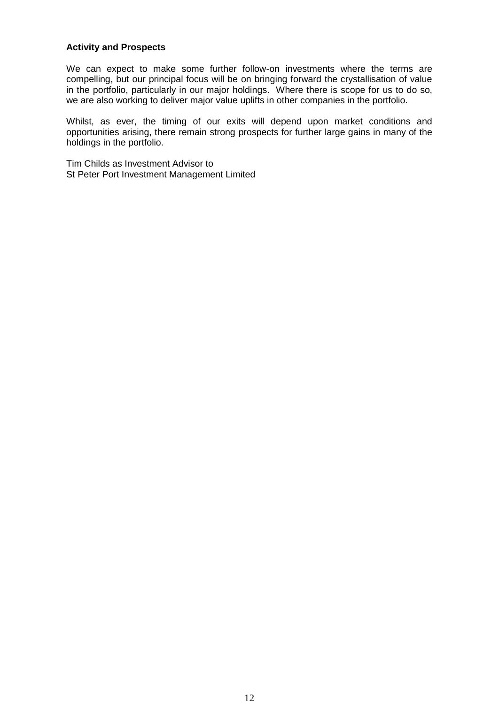#### **Activity and Prospects**

We can expect to make some further follow-on investments where the terms are compelling, but our principal focus will be on bringing forward the crystallisation of value in the portfolio, particularly in our major holdings. Where there is scope for us to do so, we are also working to deliver major value uplifts in other companies in the portfolio.

Whilst, as ever, the timing of our exits will depend upon market conditions and opportunities arising, there remain strong prospects for further large gains in many of the holdings in the portfolio.

Tim Childs as Investment Advisor to St Peter Port Investment Management Limited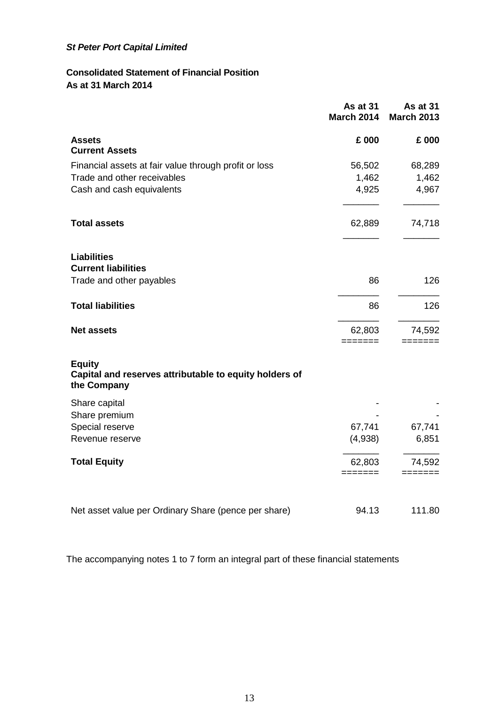# **Consolidated Statement of Financial Position As at 31 March 2014**

|                                                                                        | As at 31<br><b>March 2014</b>         | <b>As at 31</b><br><b>March 2013</b> |
|----------------------------------------------------------------------------------------|---------------------------------------|--------------------------------------|
| <b>Assets</b><br><b>Current Assets</b>                                                 | £ 000                                 | £ 000                                |
| Financial assets at fair value through profit or loss                                  | 56,502                                | 68,289                               |
| Trade and other receivables                                                            | 1,462                                 | 1,462                                |
| Cash and cash equivalents                                                              | 4,925                                 | 4,967                                |
| <b>Total assets</b>                                                                    | 62,889                                | 74,718                               |
| <b>Liabilities</b><br><b>Current liabilities</b>                                       |                                       |                                      |
| Trade and other payables                                                               | 86                                    | 126                                  |
| <b>Total liabilities</b>                                                               | 86                                    | 126                                  |
| <b>Net assets</b>                                                                      | 62,803<br>=======                     | 74,592                               |
| <b>Equity</b><br>Capital and reserves attributable to equity holders of<br>the Company |                                       |                                      |
| Share capital<br>Share premium                                                         |                                       |                                      |
| Special reserve                                                                        | 67,741                                | 67,741                               |
| Revenue reserve                                                                        | (4,938)                               | 6,851                                |
| <b>Total Equity</b>                                                                    | 62,803<br>$=$ $=$ $=$ $=$ $=$ $=$ $=$ | 74,592<br>=======                    |
| Net asset value per Ordinary Share (pence per share)                                   | 94.13                                 | 111.80                               |

The accompanying notes 1 to 7 form an integral part of these financial statements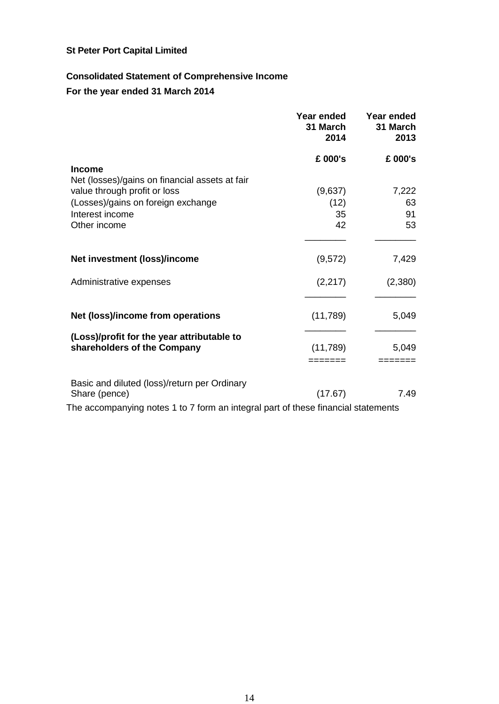# **Consolidated Statement of Comprehensive Income**

**For the year ended 31 March 2014**

|                                                                                   | Year ended<br>31 March<br>2014 | Year ended<br>31 March<br>2013 |
|-----------------------------------------------------------------------------------|--------------------------------|--------------------------------|
|                                                                                   | £ 000's                        | £ 000's                        |
| <b>Income</b><br>Net (losses)/gains on financial assets at fair                   |                                |                                |
| value through profit or loss                                                      | (9,637)                        | 7,222                          |
| (Losses)/gains on foreign exchange                                                | (12)                           | 63                             |
| Interest income                                                                   | 35                             | 91                             |
| Other income                                                                      | 42                             | 53                             |
|                                                                                   |                                |                                |
| Net investment (loss)/income                                                      | (9,572)                        | 7,429                          |
| Administrative expenses                                                           | (2, 217)                       | (2,380)                        |
|                                                                                   |                                |                                |
| Net (loss)/income from operations                                                 | (11,789)                       | 5,049                          |
| (Loss)/profit for the year attributable to                                        |                                |                                |
| shareholders of the Company                                                       | (11,789)                       | 5,049                          |
|                                                                                   | =======                        | ======                         |
| Basic and diluted (loss)/return per Ordinary                                      |                                |                                |
| Share (pence)                                                                     | (17.67)                        | 7.49                           |
| The accompanying notes 1 to 7 form an integral part of these financial statements |                                |                                |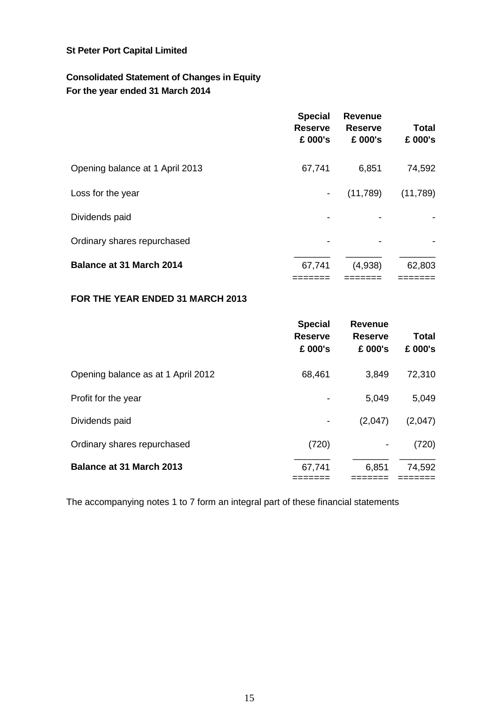# **Consolidated Statement of Changes in Equity For the year ended 31 March 2014**

|                                 | <b>Special</b><br><b>Reserve</b><br>£ 000's | <b>Revenue</b><br><b>Reserve</b><br>£ 000's | <b>Total</b><br>£ 000's |
|---------------------------------|---------------------------------------------|---------------------------------------------|-------------------------|
| Opening balance at 1 April 2013 | 67,741                                      | 6,851                                       | 74,592                  |
| Loss for the year               | $\overline{\phantom{a}}$                    | (11,789)                                    | (11,789)                |
| Dividends paid                  |                                             |                                             |                         |
| Ordinary shares repurchased     |                                             |                                             |                         |
| <b>Balance at 31 March 2014</b> | 67,741                                      | (4,938)                                     | 62,803                  |

# **FOR THE YEAR ENDED 31 MARCH 2013**

|                                    | <b>Special</b><br><b>Reserve</b><br>£ 000's | <b>Revenue</b><br><b>Reserve</b><br>£ 000's | Total<br>£ 000's |
|------------------------------------|---------------------------------------------|---------------------------------------------|------------------|
| Opening balance as at 1 April 2012 | 68,461                                      | 3,849                                       | 72,310           |
| Profit for the year                |                                             | 5,049                                       | 5,049            |
| Dividends paid                     |                                             | (2,047)                                     | (2,047)          |
| Ordinary shares repurchased        | (720)                                       |                                             | (720)            |
| <b>Balance at 31 March 2013</b>    | 67,741                                      | 6,851                                       | 74,592           |

The accompanying notes 1 to 7 form an integral part of these financial statements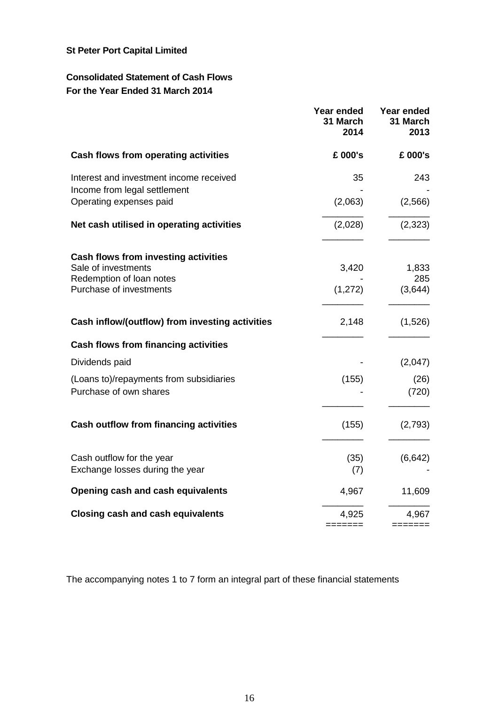# **Consolidated Statement of Cash Flows For the Year Ended 31 March 2014**

|                                                                         | Year ended<br>31 March<br>2014 | Year ended<br>31 March<br>2013 |
|-------------------------------------------------------------------------|--------------------------------|--------------------------------|
| Cash flows from operating activities                                    | £ 000's                        | £ 000's                        |
| Interest and investment income received<br>Income from legal settlement | 35                             | 243                            |
| Operating expenses paid                                                 | (2,063)                        | (2,566)                        |
| Net cash utilised in operating activities                               | (2,028)                        | (2, 323)                       |
| Cash flows from investing activities<br>Sale of investments             | 3,420                          | 1,833                          |
| Redemption of loan notes<br>Purchase of investments                     | (1, 272)                       | 285<br>(3,644)                 |
| Cash inflow/(outflow) from investing activities                         | 2,148                          | (1,526)                        |
| <b>Cash flows from financing activities</b>                             |                                |                                |
| Dividends paid                                                          |                                | (2,047)                        |
| (Loans to)/repayments from subsidiaries<br>Purchase of own shares       | (155)                          | (26)<br>(720)                  |
| <b>Cash outflow from financing activities</b>                           | (155)                          | (2,793)                        |
| Cash outflow for the year<br>Exchange losses during the year            | (35)<br>(7)                    | (6, 642)                       |
| Opening cash and cash equivalents                                       | 4,967                          | 11,609                         |
| <b>Closing cash and cash equivalents</b>                                | 4,925                          | 4,967                          |
|                                                                         | =======                        | =======                        |

The accompanying notes 1 to 7 form an integral part of these financial statements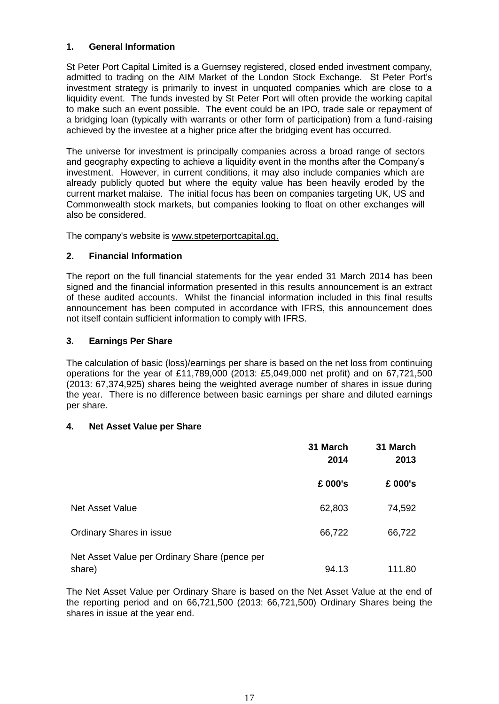### **1. General Information**

St Peter Port Capital Limited is a Guernsey registered, closed ended investment company, admitted to trading on the AIM Market of the London Stock Exchange. St Peter Port's investment strategy is primarily to invest in unquoted companies which are close to a liquidity event. The funds invested by St Peter Port will often provide the working capital to make such an event possible. The event could be an IPO, trade sale or repayment of a bridging loan (typically with warrants or other form of participation) from a fund-raising achieved by the investee at a higher price after the bridging event has occurred.

The universe for investment is principally companies across a broad range of sectors and geography expecting to achieve a liquidity event in the months after the Company's investment. However, in current conditions, it may also include companies which are already publicly quoted but where the equity value has been heavily eroded by the current market malaise. The initial focus has been on companies targeting UK, US and Commonwealth stock markets, but companies looking to float on other exchanges will also be considered.

The company's website is [www.stpeterportcapital.gg.](http://www.stpeterportcapital.gg./)

# **2. Financial Information**

The report on the full financial statements for the year ended 31 March 2014 has been signed and the financial information presented in this results announcement is an extract of these audited accounts. Whilst the financial information included in this final results announcement has been computed in accordance with IFRS, this announcement does not itself contain sufficient information to comply with IFRS.

# **3. Earnings Per Share**

The calculation of basic (loss)/earnings per share is based on the net loss from continuing operations for the year of £11,789,000 (2013: £5,049,000 net profit) and on 67,721,500 (2013: 67,374,925) shares being the weighted average number of shares in issue during the year. There is no difference between basic earnings per share and diluted earnings per share.

### **4. Net Asset Value per Share**

|                                                         | 31 March<br>2014 | 31 March<br>2013 |
|---------------------------------------------------------|------------------|------------------|
|                                                         | £ 000's          | £ 000's          |
| <b>Net Asset Value</b>                                  | 62,803           | 74,592           |
| Ordinary Shares in issue                                | 66,722           | 66,722           |
| Net Asset Value per Ordinary Share (pence per<br>share) | 94.13            | 111.80           |

The Net Asset Value per Ordinary Share is based on the Net Asset Value at the end of the reporting period and on 66,721,500 (2013: 66,721,500) Ordinary Shares being the shares in issue at the year end.